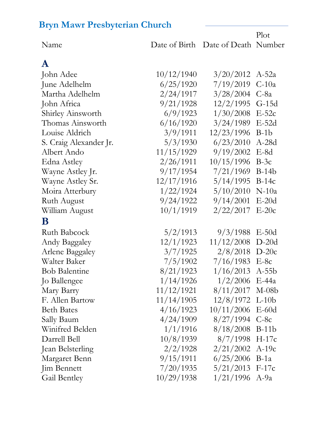| Name                   |            | Date of Birth Date of Death Number |         |
|------------------------|------------|------------------------------------|---------|
| $\mathbf A$            |            |                                    |         |
| John Adee              | 10/12/1940 | 3/20/2012                          | $A-52a$ |
| June Adelhelm          | 6/25/1920  | 7/19/2019                          | $C-10a$ |
| Martha Adelhelm        | 2/24/1917  | 3/28/2004                          | $C$ -8a |
| John Africa            | 9/21/1928  | 12/2/1995                          | $G-15d$ |
| Shirley Ainsworth      | 6/9/1923   | 1/30/2008                          | $E-52c$ |
| Thomas Ainsworth       | 6/16/1920  | 3/24/1989                          | $E-52d$ |
| Louise Aldrich         | 3/9/1911   | 12/23/1996                         | $B-1b$  |
| S. Craig Alexander Jr. | 5/3/1930   | 6/23/2010                          | $A-28d$ |
| Albert Ando            | 11/15/1929 | 9/19/2002                          | $E-8d$  |
| Edna Astley            | 2/26/1911  | 10/15/1996                         | $B-3c$  |
| Wayne Astley Jr.       | 9/17/1954  | 7/21/1969                          | $B-14b$ |
| Wayne Astley Sr.       | 12/17/1916 | 5/14/1995                          | $B-14c$ |
| Moira Atterbury        | 1/22/1924  | 5/10/2010                          | $N-10a$ |
| <b>Ruth August</b>     | 9/24/1922  | 9/14/2001                          | $E-20d$ |
| William August         | 10/1/1919  | 2/22/2017                          | $E-20c$ |
| B                      |            |                                    |         |
| <b>Ruth Babcock</b>    | 5/2/1913   | 9/3/1988                           | $E-50d$ |
| <b>Andy Baggaley</b>   | 12/1/1923  | 11/12/2008                         | $D-20d$ |
| Arlene Baggaley        | 3/7/1925   | 2/8/2018                           | $D-20c$ |
| Walter Baker           | 7/5/1902   | 7/16/1983                          | $E-8c$  |
| <b>Bob Balentine</b>   | 8/21/1923  | 1/16/2013                          | $A-55b$ |
| Jo Ballengee           | 1/14/1926  | $1/2/2006$ E-44a                   |         |
| Mary Barry             | 11/12/1921 | $8/11/2017$ M-08b                  |         |
| F. Allen Bartow        | 11/14/1905 | $12/8/1972$ L-10b                  |         |
| <b>Beth Bates</b>      | 4/16/1923  | 10/11/2006 E-60d                   |         |
| Sally Baum             | 4/24/1909  | $8/27/1994$ C-8c                   |         |
| Winifred Belden        | 1/1/1916   | $8/18/2008$ B-11b                  |         |
| Darrell Bell           | 10/8/1939  | $8/7/1998$ H-17c                   |         |
| Jean Belsterling       | 2/2/1928   | $2/21/2002$ A-19c                  |         |
| Margaret Benn          | 9/15/1911  | $6/25/2006$ B-1a                   |         |
| Jim Bennett            | 7/20/1935  | $5/21/2013$ F-17c                  |         |
| Gail Bentley           | 10/29/1938 | $1/21/1996$ A-9a                   |         |
|                        |            |                                    |         |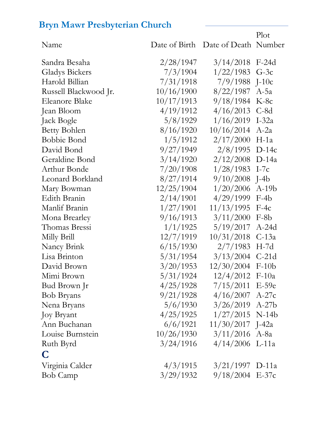Name Date of Birth Date of Death Number Plot Sandra Besaha 2/28/1947 3/14/2018 F-24d Gladys Bickers 7/3/1904 1/22/1983 G-3c Harold Billian 7/31/1918 7/9/1988 J-10c Russell Blackwood Jr. 10/16/1900 8/22/1987 A-5a Eleanore Blake 10/17/1913 9/18/1984 K-8c Jean Bloom 4/19/1912 4/16/2013 C-8d Jack Bogle 5/8/1929 1/16/2019 I-32a Betty Bohlen 8/16/1920 10/16/2014 A-2a Bobbie Bond 1/5/1912 2/17/2000 H-1a David Bond 9/27/1949 2/8/1995 D-14c Geraldine Bond 3/14/1920 2/12/2008 D-14a Arthur Bonde 7/20/1908 1/28/1983 I-7c Leonard Borkland 8/27/1914 9/10/2008 J-4b Mary Bowman 12/25/1904 1/20/2006 A-19b Edith Branin 2/14/1901 4/29/1999 F-4b Manlif Branin 1/27/1901 11/13/1995 F-4c Mona Brearley 9/16/1913 3/11/2000 F-8b Thomas Bressi 1/1/1925 5/19/2017 A-24d Milly Brill 12/7/1919 10/31/2018 C-13a Nancy Brink 6/15/1930 2/7/1983 H-7d Lisa Brinton 5/31/1954 3/13/2004 C-21d David Brown 3/20/1953 12/30/2004 F-10b Mimi Brown 5/31/1924 12/4/2012 F-10a Bud Brown Jr 4/25/1928 7/15/2011 E-59e Bob Bryans 9/21/1928 4/16/2007 A-27c Nena Bryans 5/6/1930 3/26/2019 A-27b Joy Bryant 4/25/1925 1/27/2015 N-14b Ann Buchanan 6/6/1921 11/30/2017 J-42a Louise Burnstein 10/26/1930 3/11/2016 A-8a Ruth Byrd 3/24/1916 4/14/2006 L-11a **C** Virginia Calder 4/3/1915 3/21/1997 D-11a Bob Camp 3/29/1932 9/18/2004 E-37c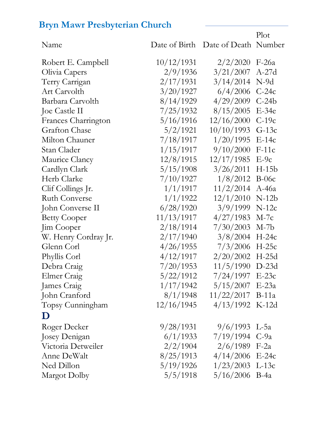| Name                 |            | Date of Birth Date of Death Number | 17 IO L |
|----------------------|------------|------------------------------------|---------|
| Robert E. Campbell   | 10/12/1931 | 2/2/2020                           | $F-26a$ |
| Olivia Capers        | 2/9/1936   | 3/21/2007                          | $A-27d$ |
| Terry Carrigan       | 2/17/1931  | 3/14/2014                          | $N-9d$  |
| Art Carvolth         | 3/20/1927  | 6/4/2006                           | $C-24c$ |
| Barbara Carvolth     | 8/14/1929  | 4/29/2009                          | $C-24b$ |
| Joe Castle II        | 7/25/1932  | 8/15/2005                          | $E-34e$ |
| Frances Charrington  | 5/16/1916  | 12/16/2000                         | $C-19c$ |
| <b>Grafton Chase</b> | 5/2/1921   | 10/10/1993                         | $G-13c$ |
| Milton Chauner       | 7/18/1917  | 1/20/1995                          | $E-14c$ |
| Stan Clader          | 1/15/1917  | 9/10/2000                          | $F-11c$ |
| Maurice Clancy       | 12/8/1915  | 12/17/1985                         | $E-9c$  |
| Cardlyn Clark        | 5/15/1908  | 3/26/2011                          | $H-15b$ |
| Herb Clarke          | 7/10/1927  | 1/8/2012                           | $B-06c$ |
| Clif Collings Jr.    | 1/1/1917   | 11/2/2014                          | $A-46a$ |
| <b>Ruth Converse</b> | 1/1/1922   | 12/1/2010                          | $N-12b$ |
| John Converse II     | 6/28/1920  | 3/9/1999                           | $N-12c$ |
| <b>Betty Cooper</b>  | 11/13/1917 | 4/27/1983                          | $M-7c$  |
| Jim Cooper           | 2/18/1914  | 7/30/2003                          | $M-7b$  |
| W. Henry Cordray Jr. | 2/17/1940  | 3/8/2004                           | $H-24c$ |
| Glenn Corl           | 4/26/1955  | 7/3/2006                           | $H-25c$ |
| Phyllis Corl         | 4/12/1917  | 2/20/2002                          | $H-25d$ |
| Debra Craig          | 7/20/1953  | 11/5/1990                          | $D-23d$ |
| Elmer Craig          | 5/22/1912  | 7/24/1997 E-23c                    |         |
| James Craig          | 1/17/1942  | $5/15/2007$ E-23a                  |         |
| John Cranford        | 8/1/1948   | $11/22/2017$ B-11a                 |         |
| Topsy Cunningham     | 12/16/1945 | $4/13/1992$ K-12d                  |         |
| $\mathbf D$          |            |                                    |         |
| Roger Decker         | 9/28/1931  | $9/6/1993$ L-5a                    |         |
| Josey Denigan        | 6/1/1933   | $7/19/1994$ C-9a                   |         |
| Victoria Detweiler   | 2/2/1904   | $2/6/1989$ F-2a                    |         |
| Anne DeWalt          | 8/25/1913  | $4/14/2006$ E-24c                  |         |
| Ned Dillon           | 5/19/1926  | $1/23/2003$ L-13c                  |         |
| Margot Dolby         | 5/5/1918   | $5/16/2006$ B-4a                   |         |
|                      |            |                                    |         |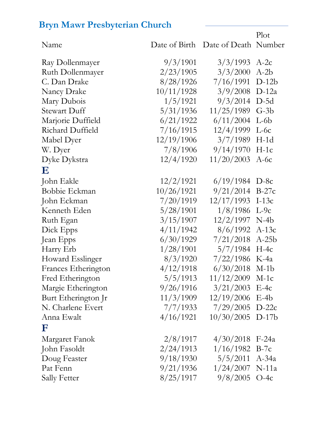| Name                |            | Date of Birth Date of Death Number | 1. IOF  |
|---------------------|------------|------------------------------------|---------|
| Ray Dollenmayer     | 9/3/1901   | 3/3/1993                           | $A-2c$  |
| Ruth Dollenmayer    | 2/23/1905  | 3/3/2000                           | $A-2b$  |
| C. Dan Drake        | 8/28/1926  | 7/16/1991                          | $D-12b$ |
| Nancy Drake         | 10/11/1928 | 3/9/2008                           | $D-12a$ |
| Mary Dubois         | 1/5/1921   | 9/3/2014                           | $D-5d$  |
| <b>Stewart Duff</b> | 5/31/1936  | 11/25/1989                         | $G-3b$  |
| Marjorie Duffield   | 6/21/1922  | 6/11/2004                          | $L-6b$  |
| Richard Duffield    | 7/16/1915  | 12/4/1999                          | $L-6c$  |
| Mabel Dyer          | 12/19/1906 | 3/7/1989                           | $H-1d$  |
| W. Dyer             | 7/8/1906   | 9/14/1970                          | $H-1c$  |
| Dyke Dykstra        | 12/4/1920  | 11/20/2003                         | $A-6c$  |
| $\bf E$             |            |                                    |         |
| John Eakle          | 12/2/1921  | $6/19/1984$ D-8c                   |         |
| Bobbie Eckman       | 10/26/1921 | 9/21/2014                          | $B-27c$ |
| John Eckman         | 7/20/1919  | 12/17/1993                         | $I-13c$ |
| Kenneth Eden        | 5/28/1901  | 1/8/1986                           | $L-9c$  |
| Ruth Egan           | 3/15/1907  | 12/2/1997                          | $N-4b$  |
| Dick Epps           | 4/11/1942  | 8/6/1992                           | $A-13c$ |
| Jean Epps           | 6/30/1929  | 7/21/2018                          | $A-25b$ |
| Harry Erb           | 1/28/1901  | 5/7/1984                           | $H-4c$  |
| Howard Esslinger    | 8/3/1920   | 7/22/1986                          | $K$ -4a |
| Frances Etherington | 4/12/1918  | 6/30/2018                          | $M-1b$  |
| Fred Etherington    | 5/5/1913   | 11/12/2009 M-1c                    |         |
| Margie Etherington  | 9/26/1916  | $3/21/2003$ E-4c                   |         |
| Burt Etherington Jr | 11/3/1909  | $12/19/2006$ E-4b                  |         |
| N. Charlene Evert   | 7/7/1933   | $7/29/2005$ D-22c                  |         |
| Anna Ewalt          | 4/16/1921  | $10/30/2005$ D-17b                 |         |
| F                   |            |                                    |         |
| Margaret Fanok      | 2/8/1917   | $4/30/2018$ F-24a                  |         |
| John Fasoldt        | 2/24/1913  | $1/16/1982$ B-7c                   |         |
| Doug Feaster        | 9/18/1930  | $5/5/2011$ A-34a                   |         |
| Pat Fenn            | 9/21/1936  | $1/24/2007$ N-11a                  |         |
| Sally Fetter        | 8/25/1917  | $9/8/2005$ O-4c                    |         |

 $P_{\text{hot}}$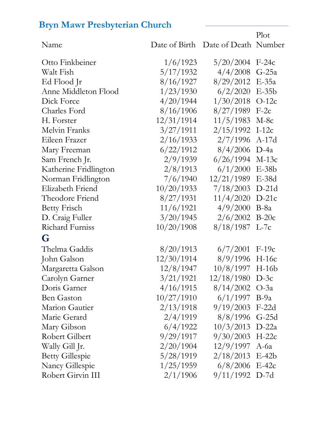|                        |            |                                    | Plot    |
|------------------------|------------|------------------------------------|---------|
| Name                   |            | Date of Birth Date of Death Number |         |
| Otto Finkbeiner        | 1/6/1923   | 5/20/2004                          | $F-24c$ |
| Walt Fish              | 5/17/1932  | 4/4/2008                           | $G-25a$ |
| Ed Flood Jr            | 8/16/1927  | 8/29/2012                          | $E-35a$ |
| Anne Middleton Flood   | 1/23/1930  | 6/2/2020                           | $E-35b$ |
| Dick Force             | 4/20/1944  | 1/30/2018                          | $O-12c$ |
| Charles Ford           | 8/16/1906  | 8/27/1989                          | $F-2c$  |
| H. Forster             | 12/31/1914 | 11/5/1983                          | $M-8c$  |
| Melvin Franks          | 3/27/1911  | 2/15/1992                          | $I-12c$ |
| Eileen Frazer          | 2/16/1933  | 2/7/1996                           | $A-17d$ |
| Mary Freeman           | 6/22/1912  | 8/4/2006                           | $D-4a$  |
| Sam French Jr.         | 2/9/1939   | 6/26/1994                          | $M-13c$ |
| Katherine Fridlington  | 2/8/1913   | 6/1/2000                           | $E-38b$ |
| Norman Fridlington     | 7/6/1940   | 12/21/1989                         | $E-38d$ |
| Elizabeth Friend       | 10/20/1933 | 7/18/2003                          | $D-21d$ |
| Theodore Friend        | 8/27/1931  | 11/4/2020                          | $D-21c$ |
| <b>Betty Frisch</b>    | 11/6/1921  | 4/9/2000                           | $B-8a$  |
| D. Craig Fuller        | 3/20/1945  | 2/6/2002                           | $B-20c$ |
| Richard Furniss        | 10/20/1908 | $8/18/1987$ L-7c                   |         |
| G                      |            |                                    |         |
| Thelma Gaddis          | 8/20/1913  | 6/7/2001                           | $F-19c$ |
| John Galson            | 12/30/1914 | 8/9/1996                           | $H-16c$ |
| Margaretta Galson      | 12/8/1947  | $10/8/1997$ H-16b                  |         |
| Carolyn Garner         | 3/21/1921  | $12/18/1980$ D-3c                  |         |
| Doris Garner           | 4/16/1915  | $8/14/2002$ O-3a                   |         |
| <b>Ben Gaston</b>      | 10/27/1910 | $6/1/1997$ B-9a                    |         |
| Marion Gautier         | 2/13/1918  | $9/19/2003$ F-22d                  |         |
| Marie Gerard           | 2/4/1919   | $8/8/1996$ G-25d                   |         |
| Mary Gibson            | 6/4/1922   | $10/3/2013$ D-22a                  |         |
| Robert Gilbert         | 9/29/1917  | $9/30/2003$ H-22c                  |         |
| Wally Gill Jr.         | 2/20/1904  | 12/9/1997                          | $A$ -6a |
| <b>Betty Gillespie</b> | 5/28/1919  | $2/18/2013$ E-42b                  |         |
| Nancy Gillespie        | 1/25/1959  | $6/8/2006$ E-42c                   |         |
| Robert Girvin III      | 2/1/1906   | $9/11/1992$ D-7d                   |         |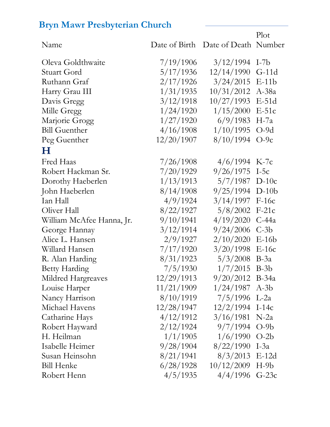|                           |            |                                    | Plot    |
|---------------------------|------------|------------------------------------|---------|
| Name                      |            | Date of Birth Date of Death Number |         |
| Oleva Goldthwaite         | 7/19/1906  | 3/12/1994                          | $I-7b$  |
| Stuart Gord               | 5/17/1936  | 12/14/1990                         | $G-11d$ |
| Ruthann Graf              | 2/17/1926  | 3/24/2015                          | $E-11b$ |
| Harry Grau III            | 1/31/1935  | $10/31/2012$ A-38a                 |         |
| Davis Gregg               | 3/12/1918  | 10/27/1993                         | $E-51d$ |
| Mille Gregg               | 1/24/1920  | 1/15/2000                          | $E-51c$ |
| Marjorie Grogg            | 1/27/1920  | 6/9/1983                           | $H-7a$  |
| <b>Bill Guenther</b>      | 4/16/1908  | 1/10/1995                          | $O-9d$  |
| Peg Guenther              | 12/20/1907 | 8/10/1994                          | $O-9c$  |
| $\bf H$                   |            |                                    |         |
| Fred Haas                 | 7/26/1908  | $4/6/1994$ K-7c                    |         |
| Robert Hackman Sr.        | 7/20/1929  | 9/26/1975                          | $I-5c$  |
| Dorothy Haeberlen         | 1/13/1913  | $5/7/1987$ D-10c                   |         |
| John Haeberlen            | 8/14/1908  | $9/25/1994$ D-10b                  |         |
| Ian Hall                  | 4/9/1924   | 3/14/1997                          | $F-16c$ |
| Oliver Hall               | 8/22/1927  | 5/8/2002                           | $F-21c$ |
| William McAfee Hanna, Jr. | 9/10/1941  | 4/19/2020                          | $C-44a$ |
| George Hannay             | 3/12/1914  | 9/24/2006                          | $C-3b$  |
| Alice L. Hansen           | 2/9/1927   | 2/10/2020                          | $E-16b$ |
| Willard Hansen            | 7/17/1920  | 3/20/1998                          | $E-16c$ |
| R. Alan Harding           | 8/31/1923  | 5/3/2008                           | $B-3a$  |
| <b>Betty Harding</b>      | 7/5/1930   | 1/7/2015                           | $B-3b$  |
| Mildred Hargreaves        | 12/29/1913 | $9/20/2012$ B-34a                  |         |
| Louise Harper             | 11/21/1909 | $1/24/1987$ A-3b                   |         |
| Nancy Harrison            | 8/10/1919  | $7/5/1996$ L-2a                    |         |
| Michael Havens            | 12/28/1947 | $12/2/1994$ I-14c                  |         |
| Catharine Hays            | 4/12/1912  | 3/16/1981                          | $N-2a$  |
| Robert Hayward            | 2/12/1924  | $9/7/1994$ O-9b                    |         |
| H. Heilman                | 1/1/1905   | $1/6/1990$ O-2b                    |         |
| Isabelle Heimer           | 9/28/1904  | $8/22/1990$ I-3a                   |         |
| Susan Heinsohn            | 8/21/1941  | $8/3/2013$ E-12d                   |         |
| <b>Bill Henke</b>         | 6/28/1928  | $10/12/2009$ H-9b                  |         |
| Robert Henn               | 4/5/1935   | $4/4/1996$ G-23c                   |         |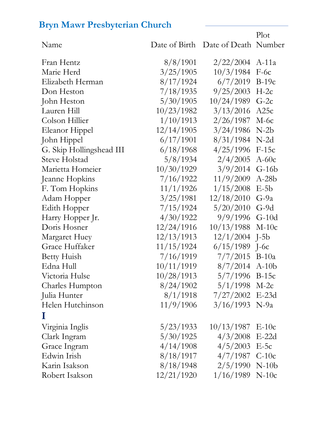| Name                     |            | Date of Birth Date of Death Number |         |
|--------------------------|------------|------------------------------------|---------|
| Fran Hentz               | 8/8/1901   | 2/22/2004                          | $A-11a$ |
| Marie Herd               | 3/25/1905  | 10/3/1984                          | $F-6c$  |
| Elizabeth Herman         | 8/17/1924  | 6/7/2019                           | $B-19c$ |
| Don Heston               | 7/18/1935  | 9/25/2003                          | $H-2c$  |
| John Heston              | 5/30/1905  | 10/24/1989                         | $G-2c$  |
| Lauren Hill              | 10/23/1982 | 3/13/2016                          | A25c    |
| Colson Hillier           | 1/10/1913  | 2/26/1987                          | $M-6c$  |
| Eleanor Hippel           | 12/14/1905 | 3/24/1986                          | $N-2b$  |
| John Hippel              | 6/17/1901  | 8/31/1984                          | $N-2d$  |
| G. Skip Hollingshead III | 6/18/1968  | 4/25/1996                          | $F-15c$ |
| <b>Steve Holstad</b>     | 5/8/1934   | 2/4/2005                           | $A-60c$ |
| Marietta Homeier         | 10/30/1929 | 3/9/2014                           | $G-16b$ |
| Jeanne Hopkins           | 7/16/1922  | 11/9/2009                          | $A-28b$ |
| F. Tom Hopkins           | 11/1/1926  | 1/15/2008                          | $E-5b$  |
| Adam Hopper              | 3/25/1981  | 12/18/2010                         | $G-9a$  |
| Edith Hopper             | 7/15/1924  | 5/20/2010                          | $G-9d$  |
| Harry Hopper Jr.         | 4/30/1922  | 9/9/1996                           | $G-10d$ |
| Doris Hosner             | 12/24/1916 | 10/13/1988                         | $M-10c$ |
| Margaret Huey            | 12/13/1913 | 12/1/2004                          | $J-5b$  |
| Grace Huffaker           | 11/15/1924 | 6/15/1989                          | $J-6c$  |
| <b>Betty Huish</b>       | 7/16/1919  | 7/7/2015                           | $B-10a$ |
| Edna Hull                | 10/11/1919 | 8/7/2014                           | $A-10b$ |
| Victoria Hulse           | 10/28/1913 | $5/7/1996$ B-15c                   |         |
| Charles Humpton          | 8/24/1902  | $5/1/1998$ M-2c                    |         |
| Julia Hunter             | 8/1/1918   | $7/27/2002$ E-23d                  |         |
| Helen Hutchinson         | 11/9/1906  | $3/16/1993$ N-9a                   |         |
| Т                        |            |                                    |         |
| Virginia Inglis          | 5/23/1933  | 10/13/1987                         | $E-10c$ |
| Clark Ingram             | 5/30/1925  | 4/3/2008                           | $E-22d$ |
| Grace Ingram             | 4/14/1908  | $4/5/2003$ E-5c                    |         |
| Edwin Irish              | 8/18/1917  | $4/7/1987$ C-10c                   |         |
| Karin Isakson            | 8/18/1948  | $2/5/1990$ N-10b                   |         |
| Robert Isakson           | 12/21/1920 | 1/16/1989                          | $N-10c$ |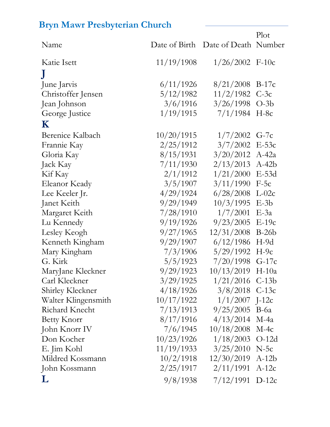|                     |            |                                    | Plot    |
|---------------------|------------|------------------------------------|---------|
| Name                |            | Date of Birth Date of Death Number |         |
| Katie Isett         | 11/19/1908 | $1/26/2002$ F-10c                  |         |
| $\mathbf{J}$        |            |                                    |         |
| June Jarvis         | 6/11/1926  | $8/21/2008$ B-17c                  |         |
| Christoffer Jensen  | 5/12/1982  | $11/2/1982$ C-3c                   |         |
| Jean Johnson        | 3/6/1916   | $3/26/1998$ O-3b                   |         |
| George Justice      | 1/19/1915  | $7/1/1984$ H-8c                    |         |
| $\mathbf K$         |            |                                    |         |
| Berenice Kalbach    | 10/20/1915 | $1/7/2002$ G-7c                    |         |
| Frannie Kay         | 2/25/1912  | $3/7/2002$ E-53c                   |         |
| Gloria Kay          | 8/15/1931  | $3/20/2012$ A-42a                  |         |
| Jack Kay            | 7/11/1930  | 2/13/2013                          | $A-42b$ |
| Kif Kay             | 2/1/1912   | 1/21/2000                          | $E-53d$ |
| Eleanor Keady       | 3/5/1907   | 3/11/1990                          | $F-5c$  |
| Lee Keeler Jr.      | 4/29/1924  | $6/28/2008$ L-02c                  |         |
| Janet Keith         | 9/29/1949  | 10/3/1995                          | $E-3b$  |
| Margaret Keith      | 7/28/1910  | 1/7/2001                           | $E-3a$  |
| Lu Kennedy          | 9/19/1926  | 9/23/2005                          | $E-19c$ |
| Lesley Keogh        | 9/27/1965  | 12/31/2008                         | $B-26b$ |
| Kenneth Kingham     | 9/29/1907  | 6/12/1986                          | $H-9d$  |
| Mary Kingham        | 7/3/1906   | $5/29/1992$ H-9c                   |         |
| G. Kirk             | 5/5/1923   | $7/20/1998$ G-17c                  |         |
| MaryJane Kleckner   | 9/29/1923  | $10/13/2019$ H-10a                 |         |
| Carl Kleckner       | 3/29/1925  | $1/21/2016$ C-13b                  |         |
| Shirley Kleckner    | 4/18/1926  | $3/8/2018$ C-13c                   |         |
| Walter Klingensmith | 10/17/1922 | $1/1/2007$ J-12c                   |         |
| Richard Knecht      | 7/13/1913  | $9/25/2005$ B-6a                   |         |
| <b>Betty Knorr</b>  | 8/17/1916  | 4/13/2014                          | $M-4a$  |
| John Knorr IV       | 7/6/1945   | 10/18/2008                         | $M-4c$  |
| Don Kocher          | 10/23/1926 | $1/18/2003$ O-12d                  |         |
| E. Jim Kohl         | 11/19/1933 | $3/25/2010$ N-5c                   |         |
| Mildred Kossmann    | 10/2/1918  | $12/30/2019$ A-12b                 |         |
| John Kossmann       | 2/25/1917  | 2/11/1991                          | $A-12c$ |
| L                   | 9/8/1938   | $7/12/1991$ D-12c                  |         |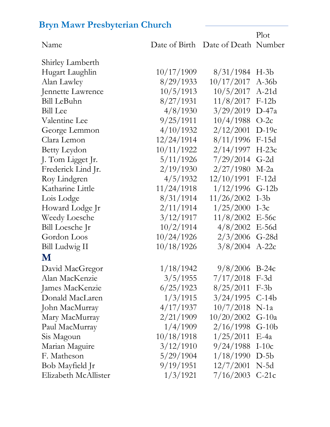|                      |            |                                    | Plot    |
|----------------------|------------|------------------------------------|---------|
| Name                 |            | Date of Birth Date of Death Number |         |
| Shirley Lamberth     |            |                                    |         |
| Hugart Laughlin      | 10/17/1909 | 8/31/1984                          | $H-3b$  |
| Alan Lawley          | 8/29/1933  | 10/17/2017                         | $A-36b$ |
| Jennette Lawrence    | 10/5/1913  | 10/5/2017                          | $A-21d$ |
| <b>Bill LeBuhn</b>   | 8/27/1931  | 11/8/2017                          | $F-12b$ |
| <b>Bill</b> Lee      | 4/8/1930   | 3/29/2019                          | $D-47a$ |
| Valentine Lee        | 9/25/1911  | 10/4/1988                          | $O-2c$  |
| George Lemmon        | 4/10/1932  | 2/12/2001                          | $D-19c$ |
| Clara Lemon          | 12/24/1914 | 8/11/1996                          | $F-15d$ |
| Betty Leydon         | 10/11/1922 | 2/14/1997                          | $H-23c$ |
| J. Tom Ligget Jr.    | 5/11/1926  | 7/29/2014                          | $G-2d$  |
| Frederick Lind Jr.   | 2/19/1930  | 2/27/1980                          | $M-2a$  |
| Roy Lindgren         | 4/5/1932   | 12/10/1991                         | $F-12d$ |
| Katharine Little     | 11/24/1918 | 1/12/1996                          | $G-12b$ |
| Lois Lodge           | 8/31/1914  | 11/26/2002                         | $I-3b$  |
| Howard Lodge Jr      | 2/11/1914  | 1/25/2000                          | $I-3c$  |
| Weedy Loesche        | 3/12/1917  | 11/8/2002                          | $E-56c$ |
| Bill Loesche Jr      | 10/2/1914  | 4/8/2002                           | $E-56d$ |
| Gordon Loos          | 10/24/1926 | 2/3/2006                           | $G-28d$ |
| Bill Ludwig II       | 10/18/1926 | 3/8/2004                           | $A-22c$ |
| M                    |            |                                    |         |
| David MacGregor      | 1/18/1942  | 9/8/2006                           | $B-24c$ |
| Alan MacKenzie       | 3/5/1955   | $7/17/2018$ F-3d                   |         |
| James MacKenzie      | 6/25/1923  | $8/25/2011$ F-3b                   |         |
| Donald MacLaren      | 1/3/1915   | $3/24/1995$ C-14b                  |         |
| John MacMurray       | 4/17/1937  | $10/7/2018$ N-1a                   |         |
| Mary MacMurray       | 2/21/1909  | $10/20/2002$ G-10a                 |         |
| Paul MacMurray       | 1/4/1909   | $2/16/1998$ G-10b                  |         |
| Sis Magoun           | 10/18/1918 | 1/25/2011                          | $E-4a$  |
| Marian Maguire       | 3/12/1910  | $9/24/1988$ I-10c                  |         |
| F. Matheson          | 5/29/1904  | 1/18/1990                          | $D-5b$  |
| Bob Mayfield Jr      | 9/19/1951  | 12/7/2001                          | $N-5d$  |
| Elizabeth McAllister | 1/3/1921   | $7/16/2003$ C-21c                  |         |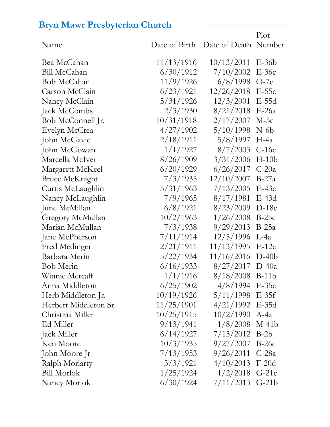|                         |               |                      | Plot    |
|-------------------------|---------------|----------------------|---------|
| Name                    | Date of Birth | Date of Death Number |         |
| Bea McCahan             | 11/13/1916    | 10/13/2011           | $E-36b$ |
| Bill McCahan            | 6/30/1912     | 7/10/2002            | $E-36c$ |
| Bob McCahan             | 11/9/1926     | 6/8/1998             | $O-7c$  |
| Carson McClain          | 6/23/1921     | 12/26/2018           | $E-55c$ |
| Nancy McClain           | 5/31/1926     | 12/3/2001            | $E-55d$ |
| Jack McCombs            | 2/3/1930      | 8/21/2018            | $E-26a$ |
| Bob McConnell Jr.       | 10/31/1918    | 2/17/2007            | $M-5c$  |
| Evelyn McCrea           | 4/27/1902     | 5/10/1998            | $N-6b$  |
| John McGavic            | 2/18/1911     | 5/8/1997             | $H$ -4a |
| John McGowan            | 1/1/1927      | 8/7/2003             | $C-16c$ |
| Marcella McIver         | 8/26/1909     | 3/31/2006            | $H-10b$ |
| Margarett McKeel        | 6/20/1929     | 6/26/2017            | $C-20a$ |
| <b>Bruce McKnight</b>   | 7/3/1935      | 12/10/2007           | $B-27a$ |
| Curtis McLaughlin       | 5/31/1963     | 7/13/2005            | $E-43c$ |
| Nancy McLaughlin        | 7/9/1965      | 8/17/1981            | $E-43d$ |
| June McMillan           | 6/8/1921      | 8/23/2009            | $D-18c$ |
| <b>Gregory McMullan</b> | 10/2/1963     | 1/26/2008            | $B-25c$ |
| Marian McMullan         | 7/3/1938      | 9/29/2013            | $B-25a$ |
| Jane McPherson          | 7/11/1914     | 12/5/1996            | $L-4a$  |
| Fred Medinger           | 2/21/1911     | 11/13/1995           | $E-12c$ |
| Barbara Merin           | 5/22/1934     | 11/16/2016           | $D-40b$ |
| Bob Merin               | 6/16/1933     | 8/27/2017            | $D-40a$ |
| Winnie Metcalf          | 1/1/1916      | $8/18/2008$ B-11b    |         |
| Anna Middleton          | 6/25/1902     | $4/8/1994$ E-35c     |         |
| Herb Middleton Jr.      | 10/19/1926    | $5/11/1998$ E-35f    |         |
| Herbert Middleton Sr.   | 11/25/1901    | $4/21/1992$ E-35d    |         |
| Christina Miller        | 10/25/1915    | 10/2/1990            | $A-4a$  |
| Ed Miller               | 9/13/1941     | 1/8/2008             | $M-41b$ |
| Jack Miller             | 6/14/1927     | $7/15/2012$ B-2b     |         |
| Ken Moore               | 10/3/1935     | 9/27/2007            | $B-26c$ |
| John Moore Jr           | 7/13/1953     | 9/26/2011            | $C-28a$ |
| Ralph Moriarty          | 3/3/1921      | 4/10/2013            | $F-20d$ |
| <b>Bill Morlok</b>      | 1/25/1924     | 1/2/2018             | $G-21c$ |
| Nancy Morlok            | 6/30/1924     | 7/11/2013            | $G-21b$ |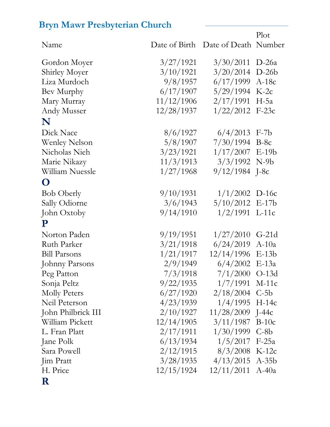|                      |            |                                    | Plot    |
|----------------------|------------|------------------------------------|---------|
| Name                 |            | Date of Birth Date of Death Number |         |
| Gordon Moyer         | 3/27/1921  | 3/30/2011                          | $D-26a$ |
| <b>Shirley Moyer</b> | 3/10/1921  | 3/20/2014                          | $D-26b$ |
| Liza Murdoch         | 9/8/1957   | 6/17/1999                          | $A-18c$ |
| Bev Murphy           | 6/17/1907  | $5/29/1994$ K-2c                   |         |
| Mary Murray          | 11/12/1906 | 2/17/1991                          | $H-5a$  |
| Andy Musser          | 12/28/1937 | $1/22/2012$ F-23c                  |         |
| N                    |            |                                    |         |
| Dick Nace            | 8/6/1927   | 6/4/2013                           | $F-7b$  |
| <b>Wenley Nelson</b> | 5/8/1907   | $7/30/1994$ B-8c                   |         |
| Nicholas Nieh        | 3/23/1921  | $1/17/2007$ E-19b                  |         |
| Marie Nikazy         | 11/3/1913  | $3/3/1992$ N-9b                    |         |
| William Nuessle      | 1/27/1968  | $9/12/1984$ J-8c                   |         |
| O                    |            |                                    |         |
| <b>Bob Oberly</b>    | 9/10/1931  | $1/1/2002$ D-16c                   |         |
| Sally Odiorne        | 3/6/1943   | $5/10/2012$ E-17b                  |         |
| John Oxtoby          | 9/14/1910  | $1/2/1991$ L-11c                   |         |
| ${\bf P}$            |            |                                    |         |
| Norton Paden         | 9/19/1951  | $1/27/2010$ G-21d                  |         |
| Ruth Parker          | 3/21/1918  | 6/24/2019                          | $A-10a$ |
| <b>Bill Parsons</b>  | 1/21/1917  | 12/14/1996 E-13b                   |         |
| Johnny Parsons       | 2/9/1949   | $6/4/2002$ E-13a                   |         |
| Peg Patton           | 7/3/1918   | $7/1/2000$ O-13d                   |         |
| Sonja Peltz          | 9/22/1935  | 1/7/1991                           | $M-11c$ |
| <b>Molly Peters</b>  | 6/27/1920  | $2/18/2004$ C-5b                   |         |
| Neil Peterson        | 4/23/1939  | $1/4/1995$ H-14c                   |         |
| John Philbrick III   | 2/10/1927  | 11/28/2009 J-44c                   |         |
| William Pickett      | 12/14/1905 | 3/11/1987                          | $B-10c$ |
| L. Fran Platt        | 2/17/1911  | $1/30/1999$ C-8b                   |         |
| Jane Polk            | 6/13/1934  | $1/5/2017$ F-25a                   |         |
| Sara Powell          | 2/12/1915  | $8/3/2008$ K-12c                   |         |
| Jim Pratt            | 3/28/1935  | $4/13/2015$ A-35b                  |         |
| H. Price             | 12/15/1924 | 12/11/2011                         | $A-40a$ |
|                      |            |                                    |         |

#### **R**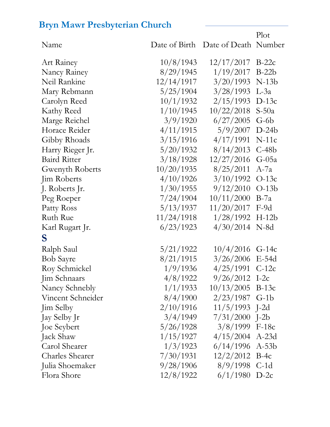|                        |               |                              | Plot    |
|------------------------|---------------|------------------------------|---------|
| Name                   | Date of Birth | Date of Death Number         |         |
| Art Rainey             | 10/8/1943     | 12/17/2017                   | $B-22c$ |
| Nancy Rainey           | 8/29/1945     | 1/19/2017                    | $B-22b$ |
| Neil Rankine           | 12/14/1917    | 3/20/1993                    | $N-13b$ |
| Mary Rebmann           | 5/25/1904     | 3/28/1993                    | $L-3a$  |
| Carolyn Reed           | 10/1/1932     | 2/15/1993                    | $D-13c$ |
| Kathy Reed             | 1/10/1945     | 10/22/2018                   | $S-50a$ |
| Marge Reichel          | 3/9/1920      | 6/27/2005                    | $G-6b$  |
| Horace Reider          | 4/11/1915     | 5/9/2007                     | $D-24b$ |
| Gibby Rhoads           | 3/15/1916     | 4/17/1991                    | $N-11c$ |
| Harry Rieger Jr.       | 5/20/1932     | 8/14/2013                    | $C-48b$ |
| <b>Baird Ritter</b>    | 3/18/1928     | 12/27/2016                   | $G-05a$ |
| Gwenyth Roberts        | 10/20/1935    | 8/25/2011                    | $A$ -7a |
| Jim Roberts            | 4/10/1926     | 3/10/1992                    | $O-13c$ |
| J. Roberts Jr.         | 1/30/1955     | 9/12/2010                    | $O-13b$ |
| Peg Roeper             | 7/24/1904     | 10/11/2000                   | $B-7a$  |
| Patty Ross             | 5/13/1937     | 11/20/2017                   | F-9d    |
| Ruth Rue               | 11/24/1918    | 1/28/1992                    | $H-12b$ |
| Karl Rugart Jr.        | 6/23/1923     | 4/30/2014                    | $N-8d$  |
| S                      |               |                              |         |
| Ralph Saul             | 5/21/1922     | 10/4/2016                    | $G-14c$ |
| <b>Bob Sayre</b>       | 8/21/1915     | 3/26/2006                    | $E-54d$ |
| Roy Schmickel          | 1/9/1936      | 4/25/1991                    | $C-12c$ |
| Jim Schnaars           | 4/8/1922      | $9/26/2012$ I-2c             |         |
| Nancy Schnebly         | 1/1/1933      | $10/13/2005$ B-13c           |         |
| Vincent Schneider      | 8/4/1900      | $2/23/1987$ G-1b             |         |
| <b>Jim Selby</b>       |               | $2/10/1916$ $11/5/1993$ J-2d |         |
| Jay Selby Jr           | 3/4/1949      | $7/31/2000$ J-2b             |         |
| Joe Seybert            | 5/26/1928     | $3/8/1999$ F-18c             |         |
| Jack Shaw              | 1/15/1927     | $4/15/2004$ A-23d            |         |
| Carol Shearer          | 1/3/1923      | $6/14/1996$ A-53b            |         |
| <b>Charles Shearer</b> | 7/30/1931     | $12/2/2012$ B-4c             |         |
| Julia Shoemaker        |               | $9/28/1906$ $8/9/1998$ C-1d  |         |
| Flora Shore            | 12/8/1922     | $6/1/1980$ D-2c              |         |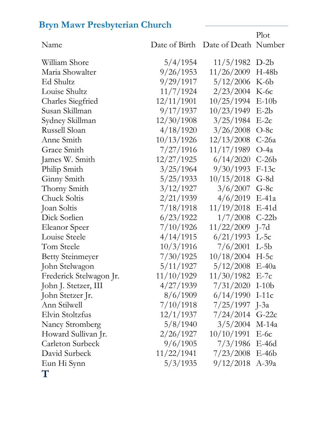Name Date of Birth Date of Death Number William Shore 5/4/1954 11/5/1982 D-2b Maria Showalter 9/26/1953 11/26/2009 H-48b Ed Shultz 9/29/1917 5/12/2006 K-6b Louise Shultz 11/7/1924 2/23/2004 K-6c Charles Siegfried 12/11/1901 10/25/1994 E-10b Susan Skillman 9/17/1937 10/23/1949 E-2b Sydney Skillman 12/30/1908 3/25/1984 E-2c Russell Sloan  $\frac{4}{18/1920}$   $\frac{3}{26/2008}$  O-8c Anne Smith 10/13/1926 12/13/2008 C-26a Grace Smith 7/27/1916 11/17/1989 O-4a James W. Smith 12/27/1925 6/14/2020 C-26b Philip Smith  $3/25/1964$  9/30/1993 F-13c Ginny Smith 5/25/1933 10/15/2018 G-8d Thorny Smith 3/12/1927 3/6/2007 G-8c Chuck Soltis 2/21/1939 4/6/2019 E-41a Joan Soltis 7/18/1918 11/19/2018 E-41d Dick Sorlien 6/23/1922 1/7/2008 C-22b Eleanor Speer 7/10/1926 11/22/2009 J-7d Louise Steele 4/14/1915 6/21/1993 L-5c Tom Steele 10/3/1916 7/6/2001 L-5b Betty Steinmeyer 7/30/1925 10/18/2004 H-5c John Stelwagon 5/11/1927 5/12/2008 E-40a Frederick Stelwagon Jr. 11/10/1929 11/30/1982 E-7c John J. Stetzer, III 4/27/1939 7/31/2020 I-10b John Stetzer Jr. 8/6/1909 6/14/1990 I-11c Ann Stilwell 7/10/1918 7/25/1997 J-3a Elvin Stoltzfus 12/1/1937 7/24/2014 G-22c Nancy Stromberg 5/8/1940 3/5/2004 M-14a Howard Sullivan Jr. 2/26/1927 10/10/1991 E-6c Carleton Surbeck 9/6/1905 7/3/1986 E-46d David Surbeck 11/22/1941 7/23/2008 E-46b Eun Hi Synn 5/3/1935 9/12/2018 A-39a **T**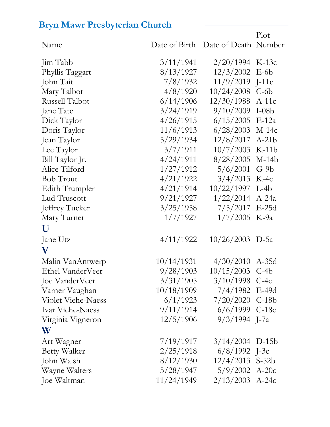| Name                  |            | Date of Birth Date of Death Number | 1. IOF  |
|-----------------------|------------|------------------------------------|---------|
| Jim Tabb              | 3/11/1941  | 2/20/1994                          | $K-13c$ |
| Phyllis Taggart       | 8/13/1927  | 12/3/2002                          | $E-6b$  |
| John Tait             | 7/8/1932   | 11/9/2019                          | $J-11c$ |
| Mary Talbot           | 4/8/1920   | 10/24/2008                         | $C-6b$  |
| Russell Talbot        | 6/14/1906  | 12/30/1988                         | $A-11c$ |
| Jane Tate             | 3/24/1919  | 9/10/2009                          | $I-08b$ |
| Dick Taylor           | 4/26/1915  | 6/15/2005                          | $E-12a$ |
| Doris Taylor          | 11/6/1913  | 6/28/2003                          | $M-14c$ |
| Jean Taylor           | 5/29/1934  | 12/8/2017                          | $A-21b$ |
| Lee Taylor            | 3/7/1911   | 10/7/2003                          | $K-11b$ |
| Bill Taylor Jr.       | 4/24/1911  | 8/28/2005                          | $M-14b$ |
| Alice Tilford         | 1/27/1912  | 5/6/2001                           | $G-9b$  |
| <b>Bob Trout</b>      | 4/21/1922  | 3/4/2013                           | $K-4c$  |
| <b>Edith Trumpler</b> | 4/21/1914  | 10/22/1997                         | $L-4b$  |
| Lud Truscott          | 9/21/1927  | 1/22/2014                          | $A-24a$ |
| Jeffrey Tucker        | 3/25/1958  | 7/5/2017                           | $E-25d$ |
| Mary Turner           | 1/7/1927   | 1/7/2005                           | $K-9a$  |
| U                     |            |                                    |         |
| Jane Utz              | 4/11/1922  | $10/26/2003$ D-5a                  |         |
| $\mathbf V$           |            |                                    |         |
| Malin VanAntwerp      | 10/14/1931 | 4/30/2010                          | $A-35d$ |
| Ethel VanderVeer      | 9/28/1903  | 10/15/2003                         | $C-4b$  |
| Joe VanderVeer        | 3/31/1905  | $3/10/1998$ C-4c                   |         |
| Varner Vaughan        | 10/18/1909 | 7/4/1982 E-49d                     |         |
| Violet Viehe-Naess    | 6/1/1923   | $7/20/2020$ C-18b                  |         |
| Ivar Viehe-Naess      | 9/11/1914  | $6/6/1999$ C-18c                   |         |
| Virginia Vigneron     | 12/5/1906  | $9/3/1994$ J-7a                    |         |
| W                     |            |                                    |         |
| Art Wagner            | 7/19/1917  | $3/14/2004$ D-15b                  |         |
| <b>Betty Walker</b>   | 2/25/1918  | $6/8/1992$ J-3c                    |         |
| John Walsh            | 8/12/1930  | $12/4/2013$ S-52b                  |         |
| Wayne Walters         | 5/28/1947  | $5/9/2002$ A-20c                   |         |
| Joe Waltman           | 11/24/1949 | $2/13/2003$ A-24c                  |         |

 $P_{\text{lot}}$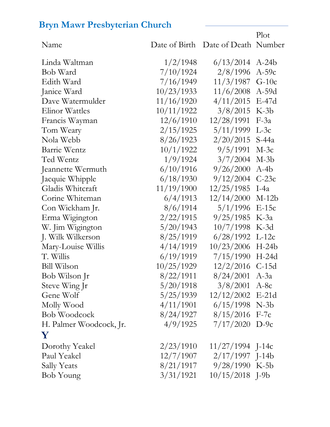Name Date of Birth Date of Death Number Plot Linda Waltman 1/2/1948 6/13/2014 A-24b Bob Ward 7/10/1924 2/8/1996 A-59c Edith Ward 7/16/1949 11/3/1987 G-10c Janice Ward 10/23/1933 11/6/2008 A-59d Dave Watermulder 11/16/1920 4/11/2015 E-47d Elinor Wattles 10/11/1922 3/8/2015 K-3b Francis Wayman 12/6/1910 12/28/1991 F-3a Tom Weary 2/15/1925 5/11/1999 L-3c Nola Webb 8/26/1923 2/20/2015 S-44a Barrie Wentz  $10/1/1922$  9/5/1991 M-3c Ted Wentz  $1/9/1924$   $3/7/2004$  M-3b Jeannette Wermuth 6/10/1916 9/26/2000 A-4b Jacquie Whipple 6/18/1930 9/12/2004 C-23c Gladis Whitcraft 11/19/1900 12/25/1985 I-4a Corine Whiteman 6/4/1913 12/14/2000 M-12b Con Wickham Jr. 8/6/1914 5/1/1996 E-15c Erma Wigington 2/22/1915 9/25/1985 K-3a W. Jim Wigington 5/20/1943 10/7/1998 K-3d J. Wilk Wilkerson 8/25/1919 6/28/1992 L-12c Mary-Louise Willis 4/14/1919 10/23/2006 H-24b T. Willis 6/19/1919 7/15/1990 H-24d Bill Wilson 10/25/1929 12/2/2016 C-15d Bob Wilson Jr 8/22/1911 8/24/2001 A-3a Steve Wing Jr 5/20/1918 3/8/2001 A-8c Gene Wolf 5/25/1939 12/12/2002 E-21d Molly Wood 4/11/1901 6/15/1998 N-3b Bob Woodcock 8/24/1927 8/15/2016 F-7c H. Palmer Woodcock, Jr. 4/9/1925 7/17/2020 D-9c **Y** Dorothy Yeakel 2/23/1910 11/27/1994 J-14c Paul Yeakel 12/7/1907 2/17/1997 J-14b Sally Yeats 8/21/1917 9/28/1990 K-5b Bob Young 3/31/1921 10/15/2018 J-9b